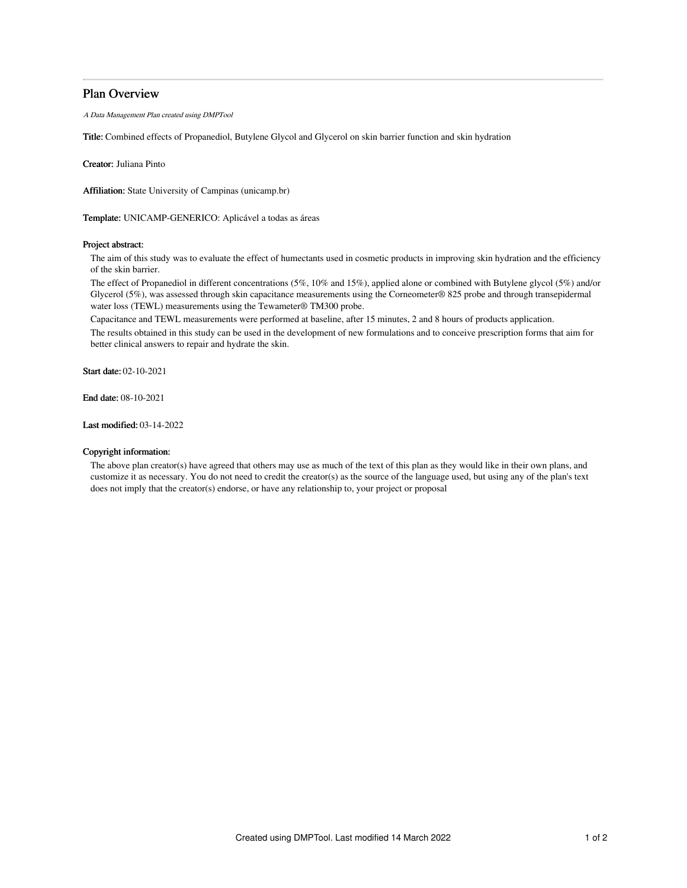## Plan Overview

A Data Management Plan created using DMPTool

Title: Combined effects of Propanediol, Butylene Glycol and Glycerol on skin barrier function and skin hydration

Creator: Juliana Pinto

Affiliation: State University of Campinas (unicamp.br)

Template: UNICAMP-GENERICO: Aplicável a todas as áreas

## Project abstract:

The aim of this study was to evaluate the effect of humectants used in cosmetic products in improving skin hydration and the efficiency of the skin barrier.

The effect of Propanediol in different concentrations (5%, 10% and 15%), applied alone or combined with Butylene glycol (5%) and/or Glycerol (5%), was assessed through skin capacitance measurements using the Corneometer® 825 probe and through transepidermal water loss (TEWL) measurements using the Tewameter® TM300 probe.

Capacitance and TEWL measurements were performed at baseline, after 15 minutes, 2 and 8 hours of products application.

The results obtained in this study can be used in the development of new formulations and to conceive prescription forms that aim for better clinical answers to repair and hydrate the skin.

Start date: 02-10-2021

End date: 08-10-2021

Last modified: 03-14-2022

## Copyright information:

The above plan creator(s) have agreed that others may use as much of the text of this plan as they would like in their own plans, and customize it as necessary. You do not need to credit the creator(s) as the source of the language used, but using any of the plan's text does not imply that the creator(s) endorse, or have any relationship to, your project or proposal